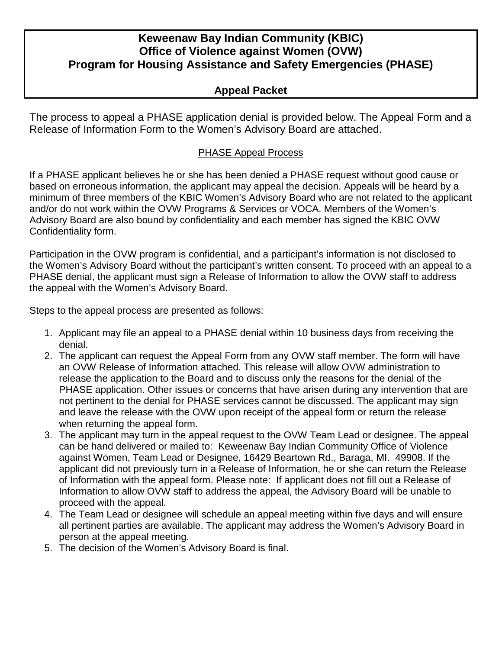## **Keweenaw Bay Indian Community (KBIC) Office of Violence against Women (OVW) Program for Housing Assistance and Safety Emergencies (PHASE)**

#### **Appeal Packet**

The process to appeal a PHASE application denial is provided below. The Appeal Form and a Release of Information Form to the Women's Advisory Board are attached.

#### PHASE Appeal Process

If a PHASE applicant believes he or she has been denied a PHASE request without good cause or based on erroneous information, the applicant may appeal the decision. Appeals will be heard by a minimum of three members of the KBIC Women's Advisory Board who are not related to the applicant and/or do not work within the OVW Programs & Services or VOCA. Members of the Women's Advisory Board are also bound by confidentiality and each member has signed the KBIC OVW Confidentiality form.

Participation in the OVW program is confidential, and a participant's information is not disclosed to the Women's Advisory Board without the participant's written consent. To proceed with an appeal to a PHASE denial, the applicant must sign a Release of Information to allow the OVW staff to address the appeal with the Women's Advisory Board.

Steps to the appeal process are presented as follows:

- 1. Applicant may file an appeal to a PHASE denial within 10 business days from receiving the denial.
- 2. The applicant can request the Appeal Form from any OVW staff member. The form will have an OVW Release of Information attached. This release will allow OVW administration to release the application to the Board and to discuss only the reasons for the denial of the PHASE application. Other issues or concerns that have arisen during any intervention that are not pertinent to the denial for PHASE services cannot be discussed. The applicant may sign and leave the release with the OVW upon receipt of the appeal form or return the release when returning the appeal form.
- 3. The applicant may turn in the appeal request to the OVW Team Lead or designee. The appeal can be hand delivered or mailed to: Keweenaw Bay Indian Community Office of Violence against Women, Team Lead or Designee, 16429 Beartown Rd., Baraga, MI. 49908. If the applicant did not previously turn in a Release of Information, he or she can return the Release of Information with the appeal form. Please note: If applicant does not fill out a Release of Information to allow OVW staff to address the appeal, the Advisory Board will be unable to proceed with the appeal.
- 4. The Team Lead or designee will schedule an appeal meeting within five days and will ensure all pertinent parties are available. The applicant may address the Women's Advisory Board in person at the appeal meeting.
- 5. The decision of the Women's Advisory Board is final.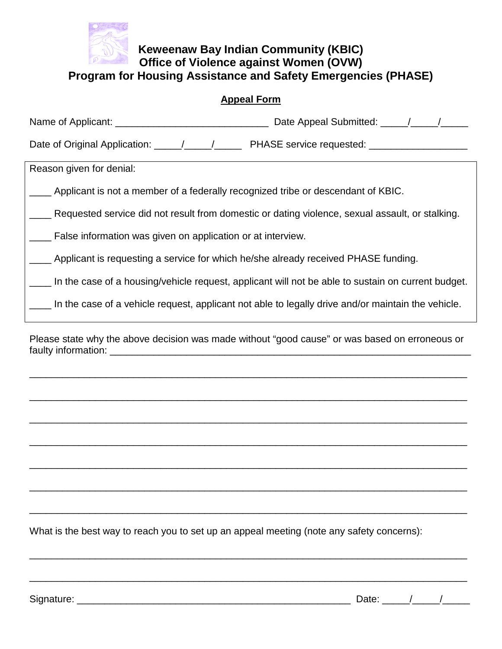

#### **Keweenaw Bay Indian Community (KBIC) Office of Violence against Women (OVW) Program for Housing Assistance and Safety Emergencies (PHASE)**

| Reason given for denial:                                                                           |  |
|----------------------------------------------------------------------------------------------------|--|
| Applicant is not a member of a federally recognized tribe or descendant of KBIC.                   |  |
| Requested service did not result from domestic or dating violence, sexual assault, or stalking.    |  |
| False information was given on application or at interview.                                        |  |
| __ Applicant is requesting a service for which he/she already received PHASE funding.              |  |
| In the case of a housing/vehicle request, applicant will not be able to sustain on current budget. |  |
| In the case of a vehicle request, applicant not able to legally drive and/or maintain the vehicle. |  |

Please state why the above decision was made without "good cause" or was based on erroneous or faulty information: \_\_\_\_\_\_\_\_\_\_\_\_\_\_\_\_\_\_\_\_\_\_\_\_\_\_\_\_\_\_\_\_\_\_\_\_\_\_\_\_\_\_\_\_\_\_\_\_\_\_\_\_\_\_\_\_\_\_\_\_\_\_\_\_\_\_

\_\_\_\_\_\_\_\_\_\_\_\_\_\_\_\_\_\_\_\_\_\_\_\_\_\_\_\_\_\_\_\_\_\_\_\_\_\_\_\_\_\_\_\_\_\_\_\_\_\_\_\_\_\_\_\_\_\_\_\_\_\_\_\_\_\_\_\_\_\_\_\_\_\_\_\_\_\_\_\_

\_\_\_\_\_\_\_\_\_\_\_\_\_\_\_\_\_\_\_\_\_\_\_\_\_\_\_\_\_\_\_\_\_\_\_\_\_\_\_\_\_\_\_\_\_\_\_\_\_\_\_\_\_\_\_\_\_\_\_\_\_\_\_\_\_\_\_\_\_\_\_\_\_\_\_\_\_\_\_\_

\_\_\_\_\_\_\_\_\_\_\_\_\_\_\_\_\_\_\_\_\_\_\_\_\_\_\_\_\_\_\_\_\_\_\_\_\_\_\_\_\_\_\_\_\_\_\_\_\_\_\_\_\_\_\_\_\_\_\_\_\_\_\_\_\_\_\_\_\_\_\_\_\_\_\_\_\_\_\_\_

\_\_\_\_\_\_\_\_\_\_\_\_\_\_\_\_\_\_\_\_\_\_\_\_\_\_\_\_\_\_\_\_\_\_\_\_\_\_\_\_\_\_\_\_\_\_\_\_\_\_\_\_\_\_\_\_\_\_\_\_\_\_\_\_\_\_\_\_\_\_\_\_\_\_\_\_\_\_\_\_

\_\_\_\_\_\_\_\_\_\_\_\_\_\_\_\_\_\_\_\_\_\_\_\_\_\_\_\_\_\_\_\_\_\_\_\_\_\_\_\_\_\_\_\_\_\_\_\_\_\_\_\_\_\_\_\_\_\_\_\_\_\_\_\_\_\_\_\_\_\_\_\_\_\_\_\_\_\_\_\_

\_\_\_\_\_\_\_\_\_\_\_\_\_\_\_\_\_\_\_\_\_\_\_\_\_\_\_\_\_\_\_\_\_\_\_\_\_\_\_\_\_\_\_\_\_\_\_\_\_\_\_\_\_\_\_\_\_\_\_\_\_\_\_\_\_\_\_\_\_\_\_\_\_\_\_\_\_\_\_\_

\_\_\_\_\_\_\_\_\_\_\_\_\_\_\_\_\_\_\_\_\_\_\_\_\_\_\_\_\_\_\_\_\_\_\_\_\_\_\_\_\_\_\_\_\_\_\_\_\_\_\_\_\_\_\_\_\_\_\_\_\_\_\_\_\_\_\_\_\_\_\_\_\_\_\_\_\_\_\_\_

\_\_\_\_\_\_\_\_\_\_\_\_\_\_\_\_\_\_\_\_\_\_\_\_\_\_\_\_\_\_\_\_\_\_\_\_\_\_\_\_\_\_\_\_\_\_\_\_\_\_\_\_\_\_\_\_\_\_\_\_\_\_\_\_\_\_\_\_\_\_\_\_\_\_\_\_\_\_\_\_

\_\_\_\_\_\_\_\_\_\_\_\_\_\_\_\_\_\_\_\_\_\_\_\_\_\_\_\_\_\_\_\_\_\_\_\_\_\_\_\_\_\_\_\_\_\_\_\_\_\_\_\_\_\_\_\_\_\_\_\_\_\_\_\_\_\_\_\_\_\_\_\_\_\_\_\_\_\_\_\_

What is the best way to reach you to set up an appeal meeting (note any safety concerns):